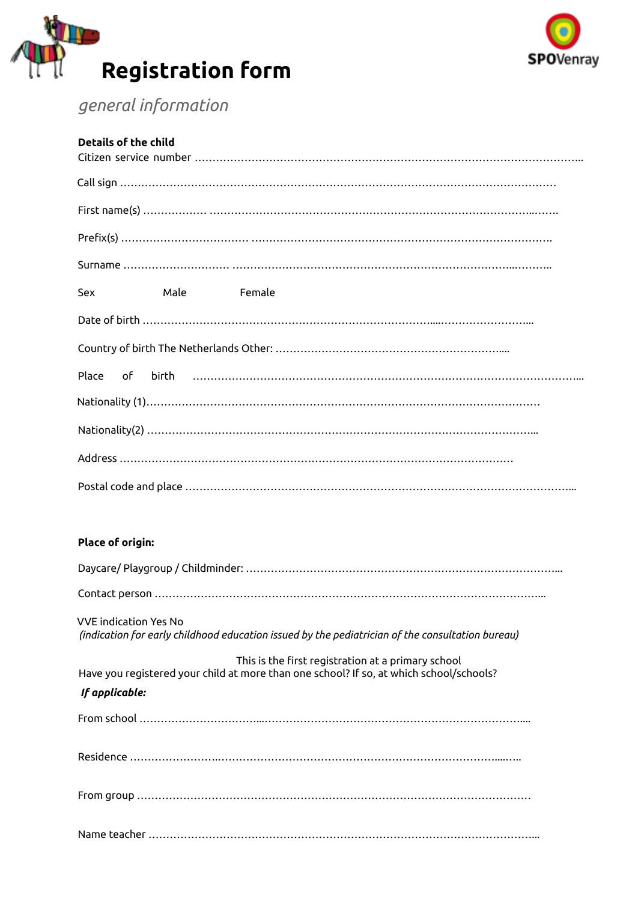



# *general information*

| <b>Details of the child</b> |
|-----------------------------|
|                             |
|                             |
|                             |
|                             |
| Sex<br>Male<br>Female       |
|                             |
|                             |
|                             |
|                             |
|                             |
|                             |
|                             |

## **Place of origin:**

| <b>VVE</b> indication Yes No<br>(indication for early childhood education issued by the pediatrician of the consultation bureau)                                |
|-----------------------------------------------------------------------------------------------------------------------------------------------------------------|
| This is the first registration at a primary school<br>Have you registered your child at more than one school? If so, at which school/schools?<br>If applicable: |
|                                                                                                                                                                 |
|                                                                                                                                                                 |
|                                                                                                                                                                 |
|                                                                                                                                                                 |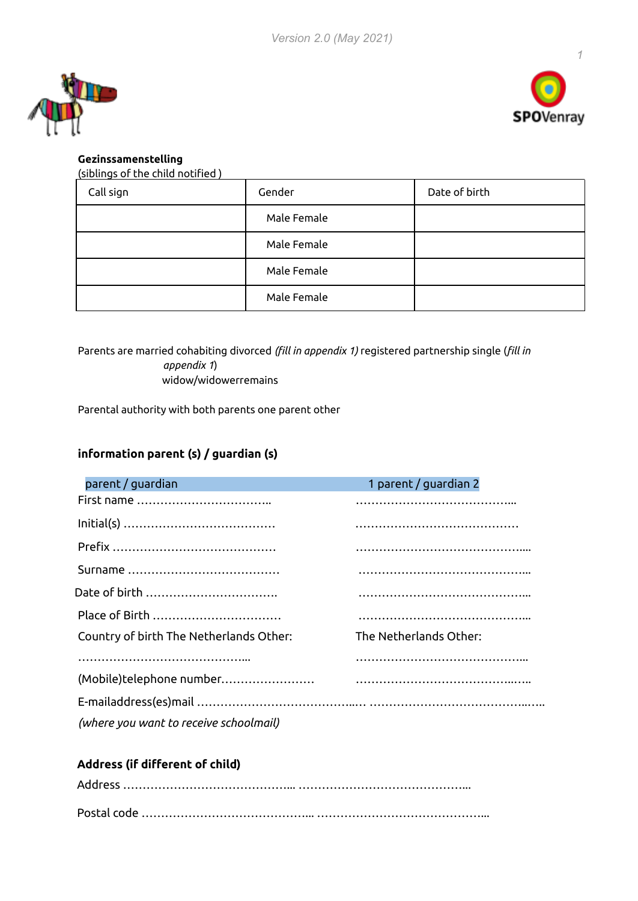



## **Gezinssamenstelling**

| (siblings of the child notified) |  |
|----------------------------------|--|
|----------------------------------|--|

| Call sign | Gender      | Date of birth |
|-----------|-------------|---------------|
|           | Male Female |               |
|           | Male Female |               |
|           | Male Female |               |
|           | Male Female |               |

Parents are married cohabiting divorced *(fill in appendix 1)* registered partnership single (*fill in appendix 1*) widow/widowerremains

Parental authority with both parents one parent other

# **information parent (s) / guardian (s)**

| parent / quardian                       | 1 parent / guardian 2  |
|-----------------------------------------|------------------------|
|                                         |                        |
|                                         |                        |
|                                         |                        |
|                                         |                        |
|                                         |                        |
| Place of Birth                          |                        |
| Country of birth The Netherlands Other: | The Netherlands Other: |
|                                         |                        |
|                                         |                        |
|                                         |                        |
| (where you want to receive schoolmail)  |                        |

## **Address (if different of child)**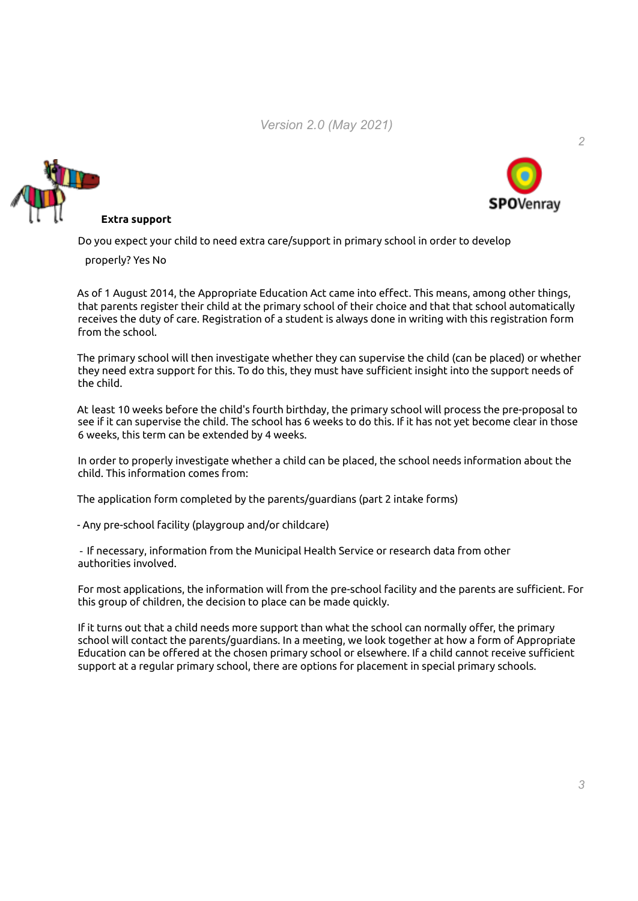*Version 2.0 (May 2021)*





*2*

#### **Extra support**

Do you expect your child to need extra care/support in primary school in order to develop

properly? Yes No

As of 1 August 2014, the Appropriate Education Act came into effect. This means, among other things, that parents register their child at the primary school of their choice and that that school automatically receives the duty of care. Registration of a student is always done in writing with this registration form from the school.

The primary school will then investigate whether they can supervise the child (can be placed) or whether they need extra support for this. To do this, they must have sufficient insight into the support needs of the child.

At least 10 weeks before the child's fourth birthday, the primary school will process the pre-proposal to see if it can supervise the child. The school has 6 weeks to do this. If it has not yet become clear in those 6 weeks, this term can be extended by 4 weeks.

In order to properly investigate whether a child can be placed, the school needs information about the child. This information comes from:

The application form completed by the parents/guardians (part 2 intake forms)

- Any pre-school facility (playgroup and/or childcare)

‐ If necessary, information from the Municipal Health Service or research data from other authorities involved.

For most applications, the information will from the pre-school facility and the parents are sufficient. For this group of children, the decision to place can be made quickly.

If it turns out that a child needs more support than what the school can normally offer, the primary school will contact the parents/guardians. In a meeting, we look together at how a form of Appropriate Education can be offered at the chosen primary school or elsewhere. If a child cannot receive sufficient support at a regular primary school, there are options for placement in special primary schools.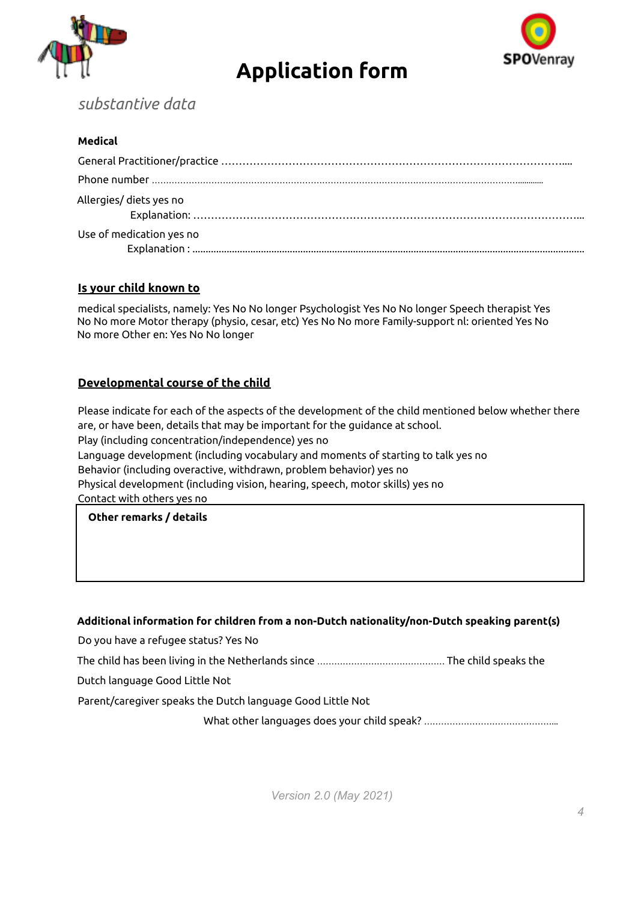

# **Application form**



# *substantive data*

#### **Medical**

| Allergies/ diets yes no  |
|--------------------------|
| Use of medication yes no |

#### **Is your child known to**

medical specialists, namely: Yes No No longer Psychologist Yes No No longer Speech therapist Yes No No more Motor therapy (physio, cesar, etc) Yes No No more Family-support nl: oriented Yes No No more Other en: Yes No No longer

#### **Developmental course of the child**

Please indicate for each of the aspects of the development of the child mentioned below whether there are, or have been, details that may be important for the guidance at school. Play (including concentration/independence) yes no Language development (including vocabulary and moments of starting to talk yes no Behavior (including overactive, withdrawn, problem behavior) yes no Physical development (including vision, hearing, speech, motor skills) yes no Contact with others yes no

#### **Other remarks / details**

#### **Additional information for children from a non-Dutch nationality/non-Dutch speaking parent(s)**

Do you have a refugee status? Yes No

The child has been living in the Netherlands since ……………………………………… The child speaks the

Dutch language Good Little Not

Parent/caregiver speaks the Dutch language Good Little Not

What other languages does your child speak? ………………………………………...

*Version 2.0 (May 2021)*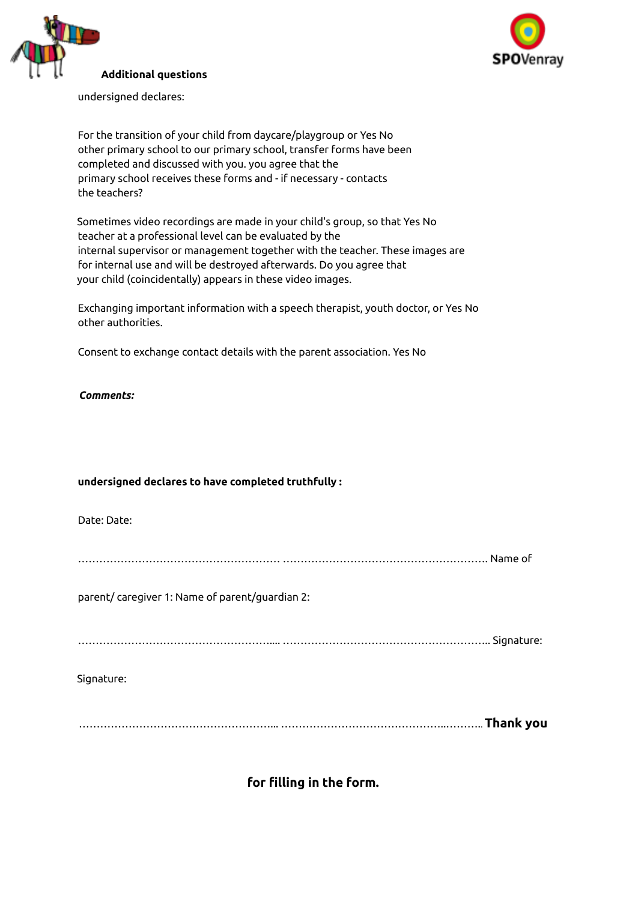



undersigned declares:

For the transition of your child from daycare/playgroup or Yes No other primary school to our primary school, transfer forms have been completed and discussed with you. you agree that the primary school receives these forms and - if necessary - contacts the teachers?

Sometimes video recordings are made in your child's group, so that Yes No teacher at a professional level can be evaluated by the internal supervisor or management together with the teacher. These images are for internal use and will be destroyed afterwards. Do you agree that your child (coincidentally) appears in these video images.

Exchanging important information with a speech therapist, youth doctor, or Yes No other authorities.

Consent to exchange contact details with the parent association. Yes No

*Comments:*

#### **undersigned declares to have completed truthfully :**

Date: Date:

………………………………………………… …………………………………………………. Name of

parent/ caregiver 1: Name of parent/guardian 2:

……………………………………………….... ………………………………………………….. Signature:

Signature:

………………………………………………... ………………………………………..……….. **Thank you**

**for filling in the form.**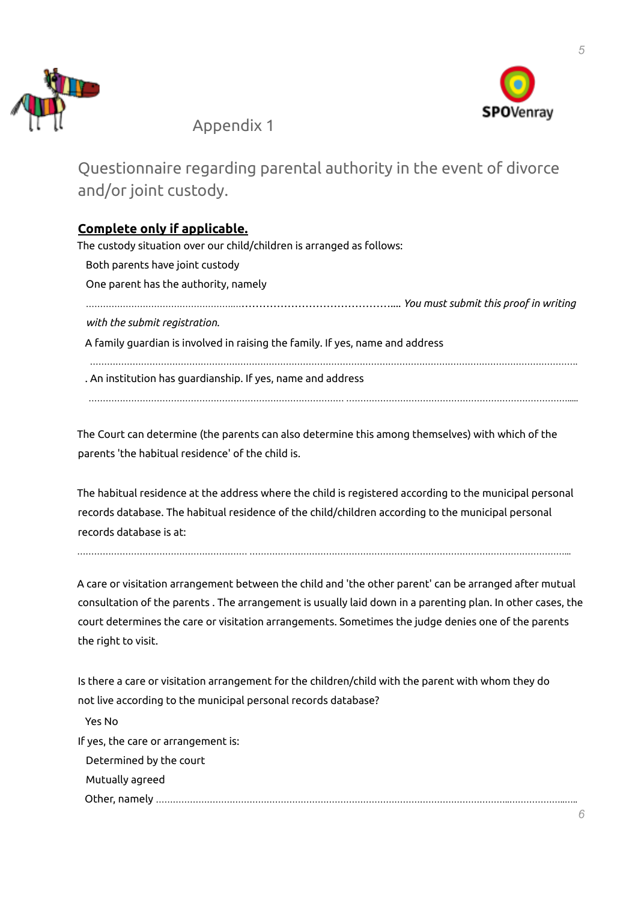



*5*

Appendix 1

Questionnaire regarding parental authority in the event of divorce and/or joint custody.

# **Complete only if applicable.**

The custody situation over our child/children is arranged as follows: Both parents have joint custody One parent has the authority, namely …………………………………………….……………………………………….... *You must submit this proof in writing with the submit registration.* A family guardian is involved in raising the family. If yes, name and address ………………………………………………………………………………………………………………………………………………………. . An institution has guardianship. If yes, name and address ……………………………………………………………………………… …………………………………………………………………….....

The Court can determine (the parents can also determine this among themselves) with which of the parents 'the habitual residence' of the child is.

The habitual residence at the address where the child is registered according to the municipal personal records database. The habitual residence of the child/children according to the municipal personal records database is at:

…………………………………………………… …………………………………………………………………………………………………...

A care or visitation arrangement between the child and 'the other parent' can be arranged after mutual consultation of the parents . The arrangement is usually laid down in a parenting plan. In other cases, the court determines the care or visitation arrangements. Sometimes the judge denies one of the parents the right to visit.

Is there a care or visitation arrangement for the children/child with the parent with whom they do not live according to the municipal personal records database?

Yes No

If yes, the care or arrangement is:

Determined by the court

Mutually agreed

Other, namely ……………………………………………………………………………………………………………..………………..…..